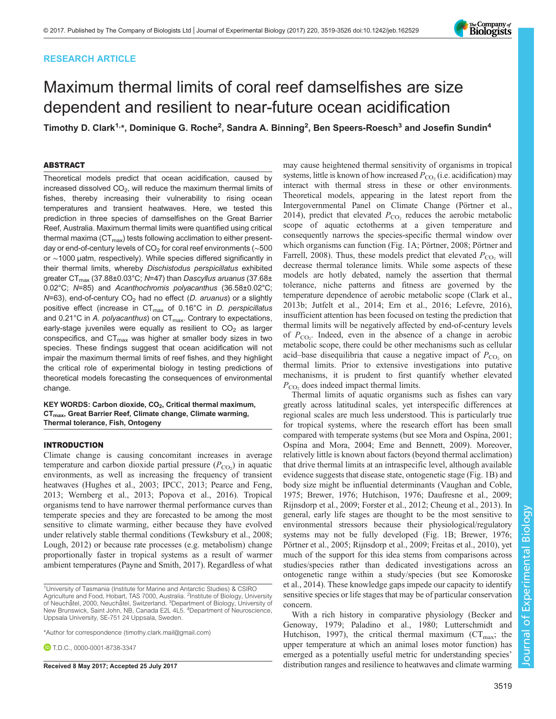# RESEARCH ARTICLE

# Maximum thermal limits of coral reef damselfishes are size dependent and resilient to near-future ocean acidification

Timothy D. Clark<sup>1,</sup>\*, Dominique G. Roche<sup>2</sup>, Sandra A. Binning<sup>2</sup>, Ben Speers-Roesch<sup>3</sup> and Josefin Sundin<sup>4</sup>

# ABSTRACT

Theoretical models predict that ocean acidification, caused by increased dissolved  $CO<sub>2</sub>$ , will reduce the maximum thermal limits of fishes, thereby increasing their vulnerability to rising ocean temperatures and transient heatwaves. Here, we tested this prediction in three species of damselfishes on the Great Barrier Reef, Australia. Maximum thermal limits were quantified using critical thermal maxima  $(CT<sub>max</sub>)$  tests following acclimation to either presentday or end-of-century levels of CO<sub>2</sub> for coral reef environments ( $\sim$ 500 or ∼1000 µatm, respectively). While species differed significantly in their thermal limits, whereby Dischistodus perspicillatus exhibited greater CT $_{\text{max}}$  (37.88±0.03°C; N=47) than Dascyllus aruanus (37.68± 0.02°C; N=85) and Acanthochromis polyacanthus (36.58±0.02°C;  $N=63$ ), end-of-century CO<sub>2</sub> had no effect (D. aruanus) or a slightly positive effect (increase in  $CT_{\text{max}}$  of 0.16°C in D. perspicillatus and 0.21 $^{\circ}$ C in A. polyacanthus) on CT<sub>max</sub>. Contrary to expectations, early-stage juveniles were equally as resilient to  $CO<sub>2</sub>$  as larger conspecifics, and  $CT_{\text{max}}$  was higher at smaller body sizes in two species. These findings suggest that ocean acidification will not impair the maximum thermal limits of reef fishes, and they highlight the critical role of experimental biology in testing predictions of theoretical models forecasting the consequences of environmental change.

KEY WORDS: Carbon dioxide, CO<sub>2</sub>, Critical thermal maximum, CTmax, Great Barrier Reef, Climate change, Climate warming, Thermal tolerance, Fish, Ontogeny

## INTRODUCTION

Climate change is causing concomitant increases in average temperature and carbon dioxide partial pressure  $(P_{CO_2})$  in aquatic environments, as well as increasing the frequency of transient heatwaves ([Hughes et al., 2003](#page-6-0); [IPCC, 2013; Pearce and Feng,](#page-6-0) [2013](#page-6-0); [Wernberg et al., 2013;](#page-7-0) [Popova et al., 2016](#page-6-0)). Tropical organisms tend to have narrower thermal performance curves than temperate species and they are forecasted to be among the most sensitive to climate warming, either because they have evolved under relatively stable thermal conditions [\(Tewksbury et al., 2008](#page-7-0); [Lough, 2012](#page-6-0)) or because rate processes (e.g. metabolism) change proportionally faster in tropical systems as a result of warmer ambient temperatures ([Payne and Smith, 2017\)](#page-6-0). Regardless of what

\*Author for correspondence [\(timothy.clark.mail@gmail.com](mailto:timothy.clark.mail@gmail.com))

**D** T.D.C., [0000-0001-8738-3347](http://orcid.org/0000-0001-8738-3347)

may cause heightened thermal sensitivity of organisms in tropical systems, little is known of how increased  $P_{\text{CO}_2}$  (i.e. acidification) may interact with thermal stress in these or other environments. Theoretical models, appearing in the latest report from the Intergovernmental Panel on Climate Change [\(Pörtner et al.,](#page-6-0) [2014\)](#page-6-0), predict that elevated  $P_{CO_2}$  reduces the aerobic metabolic scope of aquatic ectotherms at a given temperature and consequently narrows the species-specific thermal window over which organisms can function ([Fig. 1A](#page-1-0); [Pörtner, 2008; Pörtner and](#page-6-0) [Farrell, 2008](#page-6-0)). Thus, these models predict that elevated  $P_{CO_2}$  will decrease thermal tolerance limits. While some aspects of these models are hotly debated, namely the assertion that thermal tolerance, niche patterns and fitness are governed by the temperature dependence of aerobic metabolic scope [\(Clark et al.,](#page-6-0) [2013b; Jutfelt et al., 2014](#page-6-0); [Ern et al., 2016; Lefevre, 2016\)](#page-6-0), insufficient attention has been focused on testing the prediction that thermal limits will be negatively affected by end-of-century levels of  $P_{\text{CO}_2}$ . Indeed, even in the absence of a change in aerobic metabolic scope, there could be other mechanisms such as cellular acid–base disequilibria that cause a negative impact of  $P_{\text{CO}_2}$  on thermal limits. Prior to extensive investigations into putative mechanisms, it is prudent to first quantify whether elevated  $P_{\text{CO}_2}$  does indeed impact thermal limits.

Thermal limits of aquatic organisms such as fishes can vary greatly across latitudinal scales, yet interspecific differences at regional scales are much less understood. This is particularly true for tropical systems, where the research effort has been small compared with temperate systems (but see [Mora and Ospína, 2001](#page-6-0); [Ospína and Mora, 2004; Eme and Bennett, 2009](#page-6-0)). Moreover, relatively little is known about factors (beyond thermal acclimation) that drive thermal limits at an intraspecific level, although available evidence suggests that disease state, ontogenetic stage [\(Fig. 1B](#page-1-0)) and body size might be influential determinants [\(Vaughan and Coble,](#page-7-0) [1975;](#page-7-0) [Brewer, 1976; Hutchison, 1976; Daufresne et al., 2009](#page-6-0); [Rijnsdorp et al., 2009; Forster et al., 2012](#page-6-0); [Cheung et al., 2013](#page-6-0)). In general, early life stages are thought to be the most sensitive to environmental stressors because their physiological/regulatory systems may not be fully developed ([Fig. 1B](#page-1-0); [Brewer, 1976](#page-6-0); [Pörtner et al., 2005; Rijnsdorp et al., 2009](#page-6-0); [Freitas et al., 2010\)](#page-6-0), yet much of the support for this idea stems from comparisons across studies/species rather than dedicated investigations across an ontogenetic range within a study/species (but see [Komoroske](#page-6-0) [et al., 2014](#page-6-0)). These knowledge gaps impede our capacity to identify sensitive species or life stages that may be of particular conservation concern.

With a rich history in comparative physiology ([Becker and](#page-5-0) [Genoway, 1979;](#page-5-0) [Paladino et al., 1980; Lutterschmidt and](#page-6-0) [Hutchison, 1997](#page-6-0)), the critical thermal maximum ( $CT_{\text{max}}$ ; the upper temperature at which an animal loses motor function) has emerged as a potentially useful metric for understanding species' Received 8 May 2017; Accepted 25 July 2017 distribution ranges and resilience to heatwaves and climate warming

Experimental Biology



<sup>&</sup>lt;sup>1</sup>University of Tasmania (Institute for Marine and Antarctic Studies) & CSIRO Agriculture and Food, Hobart, TAS 7000, Australia. <sup>2</sup>Institute of Biology, University of Neuchâtel, 2000, Neuchâtel, Switzerland. <sup>3</sup>Department of Biology, University of New Brunswick, Saint John, NB, Canada E2L 4L5. <sup>4</sup>Department of Neuroscience, Uppsala University, SE-751 24 Uppsala, Sweden.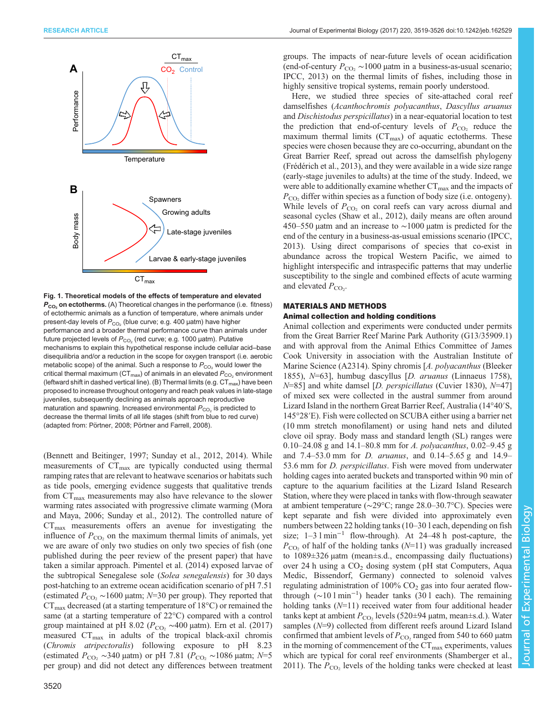<span id="page-1-0"></span>

Fig. 1. Theoretical models of the effects of temperature and elevated  $P_{CO_2}$  on ectotherms. (A) Theoretical changes in the performance (i.e. fitness) of ectothermic animals as a function of temperature, where animals under present-day levels of  $P_{CO_2}$  (blue curve; e.g. 400 µatm) have higher performance and a broader thermal performance curve than animals under future projected levels of  $P_{CO_2}$  (red curve; e.g. 1000 µatm). Putative mechanisms to explain this hypothetical response include cellular acid–base disequilibria and/or a reduction in the scope for oxygen transport (i.e. aerobic metabolic scope) of the animal. Such a response to  $P_{CO_2}$  would lower the critical thermal maximum ( $CT_{max}$ ) of animals in an elevated  $P_{CO_2}$  environment (leftward shift in dashed vertical line). (B) Thermal limits (e.g.  $CT_{max}$ ) have been proposed to increase throughout ontogeny and reach peak values in late-stage juveniles, subsequently declining as animals approach reproductive maturation and spawning. Increased environmental  $P_{CO_2}$  is predicted to decrease the thermal limits of all life stages (shift from blue to red curve) (adapted from: Pö[rtner, 2008](#page-6-0); Pö[rtner and Farrell, 2008](#page-6-0)).

[\(Bennett and Beitinger, 1997](#page-6-0); [Sunday et al., 2012](#page-7-0), [2014](#page-7-0)). While measurements of CT<sub>max</sub> are typically conducted using thermal ramping rates that are relevant to heatwave scenarios or habitats such as tide pools, emerging evidence suggests that qualitative trends from  $CT_{\text{max}}$  measurements may also have relevance to the slower warming rates associated with progressive climate warming ([Mora](#page-6-0) [and Maya, 2006;](#page-6-0) [Sunday et al., 2012](#page-7-0)). The controlled nature of  $CT_{\text{max}}$  measurements offers an avenue for investigating the influence of  $P_{\text{CO}_2}$  on the maximum thermal limits of animals, yet we are aware of only two studies on only two species of fish (one published during the peer review of the present paper) that have taken a similar approach. [Pimentel et al. \(2014\)](#page-6-0) exposed larvae of the subtropical Senegalese sole (Solea senegalensis) for 30 days post-hatching to an extreme ocean acidification scenario of pH 7.51 (estimated  $P_{\rm CO_2} \sim 1600$  µatm; N=30 per group). They reported that  $CT_{\text{max}}$  decreased (at a starting temperature of 18 $\degree$ C) or remained the same (at a starting temperature of 22°C) compared with a control group maintained at pH 8.02 ( $P_{CO_2} \sim 400$  μatm). [Ern et al. \(2017\)](#page-6-0) measured  $CT_{\text{max}}$  in adults of the tropical black-axil chromis (Chromis atripectoralis) following exposure to pH 8.23 (estimated  $P_{\text{CO}_2} \sim 340 \mu$ atm) or pH 7.81 ( $P_{\text{CO}_2} \sim 1086 \mu$ atm; N=5 per group) and did not detect any differences between treatment

groups. The impacts of near-future levels of ocean acidification (end-of-century  $P_{CO_2} \sim 1000$  µatm in a business-as-usual scenario; [IPCC, 2013](#page-6-0)) on the thermal limits of fishes, including those in highly sensitive tropical systems, remain poorly understood.

Here, we studied three species of site-attached coral reef damselfishes (Acanthochromis polyacanthus, Dascyllus aruanus and Dischistodus perspicillatus) in a near-equatorial location to test the prediction that end-of-century levels of  $P_{\text{CO}_2}$  reduce the maximum thermal limits  $(CT<sub>max</sub>)$  of aquatic ectotherms. These species were chosen because they are co-occurring, abundant on the Great Barrier Reef, spread out across the damselfish phylogeny [\(Frédérich et al., 2013](#page-6-0)), and they were available in a wide size range (early-stage juveniles to adults) at the time of the study. Indeed, we were able to additionally examine whether  $CT_{\text{max}}$  and the impacts of  $P_{\rm CO}$ , differ within species as a function of body size (i.e. ontogeny). While levels of  $P_{CO_2}$  on coral reefs can vary across diurnal and seasonal cycles ([Shaw et al., 2012\)](#page-6-0), daily means are often around 450–550 µatm and an increase to ∼1000 µatm is predicted for the end of the century in a business-as-usual emissions scenario ([IPCC,](#page-6-0) [2013\)](#page-6-0). Using direct comparisons of species that co-exist in abundance across the tropical Western Pacific, we aimed to highlight interspecific and intraspecific patterns that may underlie susceptibility to the single and combined effects of acute warming and elevated  $P_{CO_2}$ .

# MATERIALS AND METHODS Animal collection and holding conditions

Animal collection and experiments were conducted under permits from the Great Barrier Reef Marine Park Authority (G13/35909.1) and with approval from the Animal Ethics Committee of James Cook University in association with the Australian Institute of Marine Science (A2314). Spiny chromis [A. polyacanthus (Bleeker 1855), N=63], humbug dascyllus [D. aruanus (Linnaeus 1758),  $N=851$  and white damsel [D. perspicillatus (Cuvier 1830),  $N=47$ ] of mixed sex were collected in the austral summer from around Lizard Island in the northern Great Barrier Reef, Australia (14°40′S, 145°28′E). Fish were collected on SCUBA either using a barrier net (10 mm stretch monofilament) or using hand nets and diluted clove oil spray. Body mass and standard length (SL) ranges were 0.10–24.08 g and 14.1–80.8 mm for A. polyacanthus, 0.02–9.45 g and 7.4–53.0 mm for D. aruanus, and 0.14–5.65 g and 14.9– 53.6 mm for *D. perspicillatus*. Fish were moved from underwater holding cages into aerated buckets and transported within 90 min of capture to the aquarium facilities at the Lizard Island Research Station, where they were placed in tanks with flow-through seawater at ambient temperature (∼29°C; range 28.0–30.7°C). Species were kept separate and fish were divided into approximately even numbers between 22 holding tanks (10–30 l each, depending on fish size; 1–3 l min−<sup>1</sup> flow-through). At 24–48 h post-capture, the  $P_{\text{CO}_2}$  of half of the holding tanks (N=11) was gradually increased to 1089±326 µatm (mean±s.d., encompassing daily fluctuations) over 24 h using a  $CO<sub>2</sub>$  dosing system (pH stat Computers, Aqua Medic, Bissendorf, Germany) connected to solenoid valves regulating administration of  $100\%$  CO<sub>2</sub> gas into four aerated flowthrough (∼10 l min−<sup>1</sup> ) header tanks (30 l each). The remaining holding tanks  $(N=11)$  received water from four additional header tanks kept at ambient  $P_{CO_2}$  levels (520±94 µatm, mean±s.d.). Water samples ( $N=9$ ) collected from different reefs around Lizard Island confirmed that ambient levels of  $P_{\text{CO}}$ , ranged from 540 to 660 µatm in the morning of commencement of the  $CT_{\text{max}}$  experiments, values which are typical for coral reef environments ([Shamberger et al.,](#page-6-0) [2011\)](#page-6-0). The  $P_{\text{CO}_2}$  levels of the holding tanks were checked at least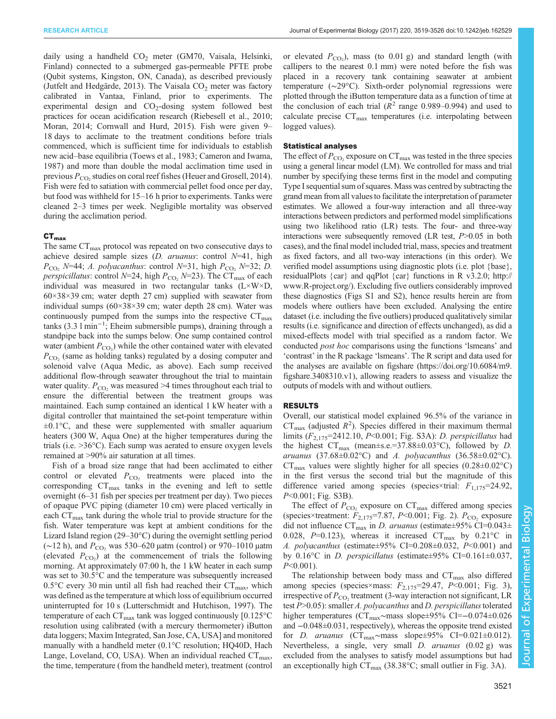daily using a handheld  $CO<sub>2</sub>$  meter (GM70, Vaisala, Helsinki, Finland) connected to a submerged gas-permeable PFTE probe (Qubit systems, Kingston, ON, Canada), as described previously [\(Jutfelt and Hedgärde, 2013](#page-6-0)). The Vaisala  $CO<sub>2</sub>$  meter was factory calibrated in Vantaa, Finland, prior to experiments. The experimental design and  $CO<sub>2</sub>$ -dosing system followed best practices for ocean acidification research ([Riebesell et al., 2010](#page-6-0); [Moran, 2014](#page-6-0); [Cornwall and Hurd, 2015\)](#page-6-0). Fish were given 9– 18 days to acclimate to the treatment conditions before trials commenced, which is sufficient time for individuals to establish new acid–base equilibria [\(Toews et al., 1983;](#page-7-0) [Cameron and Iwama,](#page-6-0) [1987](#page-6-0)) and more than double the modal acclimation time used in previous  $P_{\rm CO}$ , studies on coral reef fishes ([Heuer and Grosell, 2014\)](#page-6-0). Fish were fed to satiation with commercial pellet food once per day, but food was withheld for 15–16 h prior to experiments. Tanks were cleaned 2–3 times per week. Negligible mortality was observed during the acclimation period.

## $CT<sub>max</sub>$

The same  $CT_{\text{max}}$  protocol was repeated on two consecutive days to achieve desired sample sizes  $(D. aruanus:$  control  $N=41$ , high  $P_{\text{CO}_2}$  N=44; A. polyacanthus: control N=31, high  $P_{\text{CO}_2}$  N=32; D. *perspicillatus:* control  $N=24$ , high  $P_{CO_2}$   $N=23$ ). The CT<sub>max</sub> of each individual was measured in two rectangular tanks (L×W×D, 60×38×39 cm; water depth 27 cm) supplied with seawater from individual sumps (60×38×39 cm; water depth 28 cm). Water was continuously pumped from the sumps into the respective  $CT_{\text{max}}$ tanks (3.3 l min−<sup>1</sup> ; Eheim submersible pumps), draining through a standpipe back into the sumps below. One sump contained control water (ambient  $P_{\text{CO}_2}$ ) while the other contained water with elevated  $P_{\rm CO}$  (same as holding tanks) regulated by a dosing computer and solenoid valve (Aqua Medic, as above). Each sump received additional flow-through seawater throughout the trial to maintain water quality.  $P_{\rm CO}$ , was measured >4 times throughout each trial to ensure the differential between the treatment groups was maintained. Each sump contained an identical 1 kW heater with a digital controller that maintained the set-point temperature within  $\pm 0.1$ °C, and these were supplemented with smaller aquarium heaters (300 W, Aqua One) at the higher temperatures during the trials (i.e. >36°C). Each sump was aerated to ensure oxygen levels remained at >90% air saturation at all times.

Fish of a broad size range that had been acclimated to either control or elevated  $P_{CO_2}$  treatments were placed into the corresponding  $CT_{\text{max}}$  tanks in the evening and left to settle overnight (6–31 fish per species per treatment per day). Two pieces of opaque PVC piping (diameter 10 cm) were placed vertically in each  $CT<sub>max</sub>$  tank during the whole trial to provide structure for the fish. Water temperature was kept at ambient conditions for the Lizard Island region (29–30°C) during the overnight settling period  $(\sim 12 \text{ h})$ , and  $P_{\rm CO}$ , was 530–620 μatm (control) or 970–1010 μatm (elevated  $P_{\text{CO}_2}$ ) at the commencement of trials the following morning. At approximately 07:00 h, the 1 kW heater in each sump was set to 30.5°C and the temperature was subsequently increased 0.5 $\degree$ C every 30 min until all fish had reached their CT<sub>max</sub>, which was defined as the temperature at which loss of equilibrium occurred uninterrupted for 10 s ([Lutterschmidt and Hutchison, 1997](#page-6-0)). The temperature of each  $CT_{\text{max}}$  tank was logged continuously [0.125 $\textdegree$ C resolution using calibrated (with a mercury thermometer) iButton data loggers; Maxim Integrated, San Jose, CA, USA] and monitored manually with a handheld meter (0.1°C resolution; HQ40D, Hach Lange, Loveland, CO, USA). When an individual reached  $CT_{\text{max}}$ , the time, temperature (from the handheld meter), treatment (control or elevated  $P_{\text{CO}_2}$ ), mass (to 0.01 g) and standard length (with callipers to the nearest 0.1 mm) were noted before the fish was placed in a recovery tank containing seawater at ambient temperature (∼29°C). Sixth-order polynomial regressions were plotted through the iButton temperature data as a function of time at the conclusion of each trial ( $R^2$  range 0.989–0.994) and used to calculate precise  $CT_{\text{max}}$  temperatures (i.e. interpolating between logged values).

### Statistical analyses

The effect of  $P_{\text{CO}_2}$  exposure on  $CT_{\text{max}}$  was tested in the three species using a general linear model (LM). We controlled for mass and trial number by specifying these terms first in the model and computing Type I sequential sum of squares. Mass was centred by subtracting the grand mean from all values to facilitate the interpretation of parameter estimates. We allowed a four-way interaction and all three-way interactions between predictors and performed model simplifications using two likelihood ratio (LR) tests. The four- and three-way interactions were subsequently removed (LR test,  $P > 0.05$  in both cases), and the final model included trial, mass, species and treatment as fixed factors, and all two-way interactions (in this order). We verified model assumptions using diagnostic plots (i.e. plot {base}, residualPlots {car} and qqPlot {car} functions in R v3.2.0; [http://](http://www.R-project.org/) [www.R-project.org/](http://www.R-project.org/)). Excluding five outliers considerably improved these diagnostics ([Figs S1 and S2](http://jeb.biologists.org/lookup/doi/10.1242/jeb.162529.supplemental)), hence results herein are from models where outliers have been excluded. Analysing the entire dataset (i.e. including the five outliers) produced qualitatively similar results (i.e. significance and direction of effects unchanged), as did a mixed-effects model with trial specified as a random factor. We conducted post hoc comparisons using the functions 'lsmeans' and 'contrast' in the R package 'lsmeans'. The R script and data used for the analyses are available on figshare [\(https://doi.org/10.6084/m9.](https://doi.org/10.6084/m9.figshare.3408310.v1) [figshare.3408310.v1](https://doi.org/10.6084/m9.figshare.3408310.v1)), allowing readers to assess and visualize the outputs of models with and without outliers.

## RESULTS

Overall, our statistical model explained 96.5% of the variance in  $CT_{\text{max}}$  (adjusted  $R^2$ ). Species differed in their maximum thermal limits  $(F_{2,175} = 2412.10, P < 0.001$ ; [Fig. S3A\)](http://jeb.biologists.org/lookup/doi/10.1242/jeb.162529.supplemental): *D. perspicillatus* had the highest  $CT_{\text{max}}$  (mean±s.e.=37.88±0.03°C), followed by *D*. aruanus  $(37.68\pm0.02^{\circ}\text{C})$  and A. polyacanthus  $(36.58\pm0.02^{\circ}\text{C})$ .  $CT_{\text{max}}$  values were slightly higher for all species (0.28±0.02 $\textdegree$ C) in the first versus the second trial but the magnitude of this difference varied among species (species×trial:  $F_{1,175}$ =24.92, P<0.001; [Fig. S3B\)](http://jeb.biologists.org/lookup/doi/10.1242/jeb.162529.supplemental).

The effect of  $P_{\text{CO}_2}$  exposure on  $CT_{\text{max}}$  differed among species (species×treatment:  $F_{2,175}$ =7.87, P<0.001; [Fig. 2](#page-3-0)).  $P_{CO_2}$  exposure did not influence  $CT_{\text{max}}$  in *D. aruanus* (estimate $\pm$ 95% CI=0.043 $\pm$ 0.028, P=0.123), whereas it increased  $CT_{\text{max}}$  by 0.21 °C in A. polyacanthus (estimate $\pm 95\%$  CI=0.208 $\pm 0.032$ , P<0.001) and by 0.16°C in D. perspicillatus (estimate $\pm$ 95% CI=0.161 $\pm$ 0.037,  $P<0.001$ ).

The relationship between body mass and  $CT_{\text{max}}$  also differed among species (species×mass:  $F_{2,175}$ =29.47, P<0.001; [Fig. 3\)](#page-4-0), irrespective of  $P_{\rm CO}$ , treatment (3-way interaction not significant, LR test  $P > 0.05$ ): smaller A. polyacanthus and D. perspicillatus tolerated higher temperatures (CTmax∼mass slope±95% CI=−0.074±0.026 and −0.048±0.031, respectively), whereas the opposite trend existed for D. aruanus (CT<sub>max</sub>~mass slope±95% CI=0.021±0.012). Nevertheless, a single, very small D. aruanus (0.02 g) was excluded from the analyses to satisfy model assumptions but had an exceptionally high  $CT_{\text{max}}$  (38.38°C; small outlier in [Fig. 3A](#page-4-0)).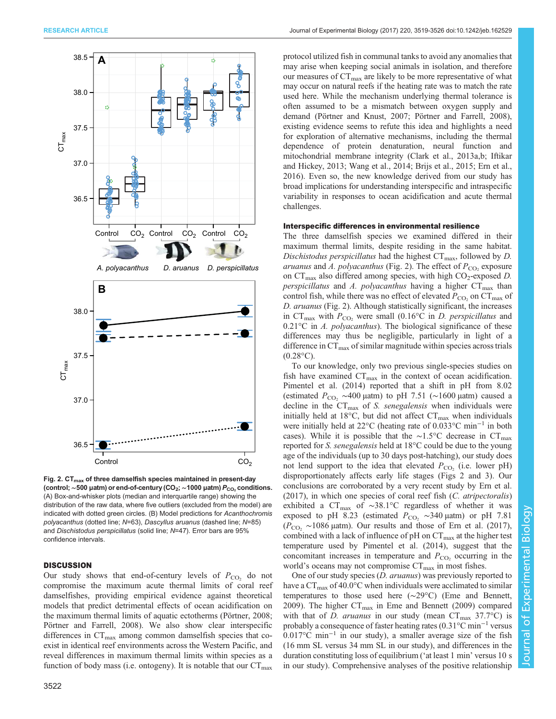<span id="page-3-0"></span>

Fig. 2.  $CT_{max}$  of three damselfish species maintained in present-day (control; ~500 µatm) or end-of-century (CO<sub>2</sub>; ~1000 µatm) P<sub>CO2</sub> conditions. (A) Box-and-whisker plots (median and interquartile range) showing the distribution of the raw data, where five outliers (excluded from the model) are indicated with dotted green circles. (B) Model predictions for Acanthochromis polyacanthus (dotted line; N=63), Dascyllus aruanus (dashed line; N=85) and Dischistodus perspicillatus (solid line; N=47). Error bars are 95% confidence intervals.

## **DISCUSSION**

Our study shows that end-of-century levels of  $P_{\text{CO}_2}$  do not compromise the maximum acute thermal limits of coral reef damselfishes, providing empirical evidence against theoretical models that predict detrimental effects of ocean acidification on the maximum thermal limits of aquatic ectotherms ([Pörtner, 2008](#page-6-0); [Pörtner and Farrell, 2008\)](#page-6-0). We also show clear interspecific differences in  $CT_{\text{max}}$  among common damselfish species that coexist in identical reef environments across the Western Pacific, and reveal differences in maximum thermal limits within species as a function of body mass (i.e. ontogeny). It is notable that our  $CT_{\text{max}}$ 

protocol utilized fish in communal tanks to avoid any anomalies that may arise when keeping social animals in isolation, and therefore our measures of  $CT<sub>max</sub>$  are likely to be more representative of what may occur on natural reefs if the heating rate was to match the rate used here. While the mechanism underlying thermal tolerance is often assumed to be a mismatch between oxygen supply and demand ([Pörtner and Knust, 2007](#page-6-0); [Pörtner and Farrell, 2008\)](#page-6-0), existing evidence seems to refute this idea and highlights a need for exploration of alternative mechanisms, including the thermal dependence of protein denaturation, neural function and mitochondrial membrane integrity ([Clark et al., 2013a,b; Iftikar](#page-6-0) [and Hickey, 2013](#page-6-0); [Wang et al., 2014](#page-7-0); [Brijs et al., 2015](#page-6-0); [Ern et al.,](#page-6-0) [2016\)](#page-6-0). Even so, the new knowledge derived from our study has broad implications for understanding interspecific and intraspecific variability in responses to ocean acidification and acute thermal challenges.

## Interspecific differences in environmental resilience

The three damselfish species we examined differed in their maximum thermal limits, despite residing in the same habitat. Dischistodus perspicillatus had the highest  $CT_{\text{max}}$ , followed by D. aruanus and A. polyacanthus (Fig. 2). The effect of  $P_{\rm CO}$ , exposure on  $CT_{\text{max}}$  also differed among species, with high  $CO_2$ -exposed D. perspicillatus and A. polyacanthus having a higher  $CT_{max}$  than control fish, while there was no effect of elevated  $P_{\rm CO}$ , on  $CT_{\rm max}$  of D. aruanus (Fig. 2). Although statistically significant, the increases in CT<sub>max</sub> with  $P_{CO_2}$  were small (0.16°C in *D. perspicillatus* and  $0.21^{\circ}\text{C}$  in *A. polyacanthus*). The biological significance of these differences may thus be negligible, particularly in light of a difference in  $CT_{\text{max}}$  of similar magnitude within species across trials  $(0.28\text{°C})$ .

To our knowledge, only two previous single-species studies on fish have examined  $CT_{\text{max}}$  in the context of ocean acidification. [Pimentel et al. \(2014\)](#page-6-0) reported that a shift in pH from 8.02 (estimated  $P_{CO_2} \sim 400 \mu$ atm) to pH 7.51 (~1600 µatm) caused a decline in the  $CT_{\text{max}}$  of *S. senegalensis* when individuals were initially held at 18°C, but did not affect  $CT_{\text{max}}$  when individuals were initially held at 22°C (heating rate of 0.033°C min−<sup>1</sup> in both cases). While it is possible that the ∼1.5°C decrease in  $CT_{\text{max}}$ reported for S. senegalensis held at 18°C could be due to the young age of the individuals (up to 30 days post-hatching), our study does not lend support to the idea that elevated  $P_{CO_2}$  (i.e. lower pH) disproportionately affects early life stages ([Figs 2 and 3](http://jeb.biologists.org/lookup/doi/10.1242/jeb.162529.supplemental)). Our conclusions are corroborated by a very recent study by [Ern et al.](#page-6-0)  $(2017)$ , in which one species of coral reef fish  $(C.$  atripectoralis) exhibited a CT<sub>max</sub> of ~38.1°C regardless of whether it was exposed to pH 8.23 (estimated  $P_{CO_2} \sim 340 \mu$ atm) or pH 7.81  $(P_{CO_2} \sim 1086 \text{ \mu atm})$ . Our results and those of [Ern et al. \(2017\),](#page-6-0) combined with a lack of influence of  $pH$  on  $CT_{\text{max}}$  at the higher test temperature used by [Pimentel et al. \(2014\)](#page-6-0), suggest that the concomitant increases in temperature and  $P_{\text{CO}_2}$  occurring in the world's oceans may not compromise  $CT_{\text{max}}$  in most fishes.

One of our study species (D. aruanus) was previously reported to have a  $CT_{\text{max}}$  of 40.0°C when individuals were acclimated to similar temperatures to those used here (∼29°C) ([Eme and Bennett,](#page-6-0) [2009\)](#page-6-0). The higher  $CT_{\text{max}}$  in [Eme and Bennett \(2009\)](#page-6-0) compared with that of D. aruanus in our study (mean  $CT_{\text{max}}$  37.7°C) is probably a consequence of faster heating rates (0.31°C min−<sup>1</sup> versus 0.017°C min−<sup>1</sup> in our study), a smaller average size of the fish (16 mm SL versus 34 mm SL in our study), and differences in the duration constituting loss of equilibrium ('at least 1 min' versus 10 s in our study). Comprehensive analyses of the positive relationship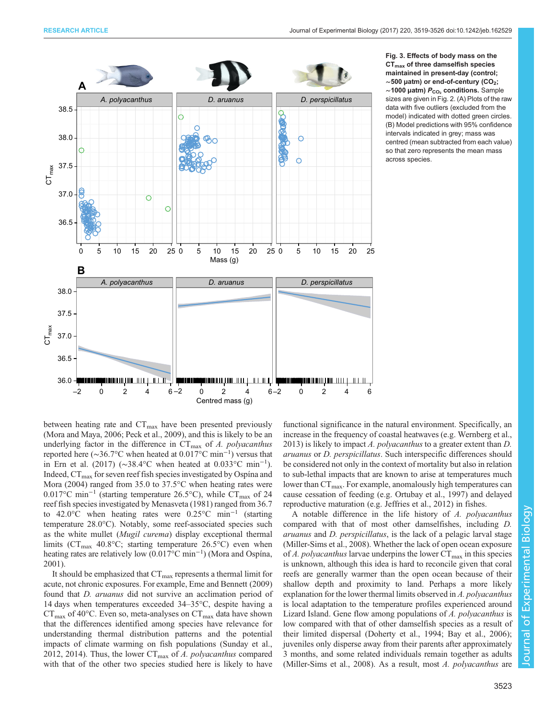<span id="page-4-0"></span>

Fig. 3. Effects of body mass on the  $CT<sub>max</sub>$  of three damselfish species maintained in present-day (control; ∼500 µatm) or end-of-century (CO2; ~1000 µatm)  $P_{CO_2}$  conditions. Sample sizes are given in [Fig. 2.](#page-3-0) (A) Plots of the raw data with five outliers (excluded from the model) indicated with dotted green circles. (B) Model predictions with 95% confidence intervals indicated in grey; mass was centred (mean subtracted from each value) so that zero represents the mean mass across species.

between heating rate and  $CT_{\text{max}}$  have been presented previously [\(Mora and Maya, 2006; Peck et al., 2009\)](#page-6-0), and this is likely to be an underlying factor in the difference in  $CT_{\text{max}}$  of A. polyacanthus reported here ( $\sim$ 36.7°C when heated at 0.017°C min<sup>-1</sup>) versus that in [Ern et al. \(2017\)](#page-6-0) (∼38.4°C when heated at 0.033°C min−<sup>1</sup> ). Indeed,  $CT_{\text{max}}$  for seven reef fish species investigated by [Ospína and](#page-6-0) [Mora \(2004\)](#page-6-0) ranged from 35.0 to 37.5°C when heating rates were 0.017°C min<sup>-1</sup> (starting temperature 26.5°C), while CT<sub>max</sub> of 24 reef fish species investigated by [Menasveta \(1981\)](#page-6-0) ranged from 36.7 to 42.0°C when heating rates were 0.25°C min−<sup>1</sup> (starting temperature 28.0°C). Notably, some reef-associated species such as the white mullet (Mugil curema) display exceptional thermal limits ( $CT_{\text{max}}$  40.8°C; starting temperature 26.5°C) even when heating rates are relatively low (0.017°C min−<sup>1</sup> ) [\(Mora and Ospína,](#page-6-0) [2001](#page-6-0)).

It should be emphasized that  $CT_{\text{max}}$  represents a thermal limit for acute, not chronic exposures. For example, [Eme and Bennett \(2009\)](#page-6-0) found that D. aruanus did not survive an acclimation period of 14 days when temperatures exceeded 34–35°C, despite having a  $CT_{\text{max}}$  of 40°C. Even so, meta-analyses on  $CT_{\text{max}}$  data have shown that the differences identified among species have relevance for understanding thermal distribution patterns and the potential impacts of climate warming on fish populations [\(Sunday et al.,](#page-7-0) [2012](#page-7-0), [2014](#page-7-0)). Thus, the lower  $CT_{\text{max}}$  of A. polyacanthus compared with that of the other two species studied here is likely to have

functional significance in the natural environment. Specifically, an increase in the frequency of coastal heatwaves (e.g. [Wernberg et al.,](#page-7-0) [2013\)](#page-7-0) is likely to impact A. polyacanthus to a greater extent than D. aruanus or D. perspicillatus. Such interspecific differences should be considered not only in the context of mortality but also in relation to sub-lethal impacts that are known to arise at temperatures much lower than  $CT<sub>max</sub>$ . For example, anomalously high temperatures can cause cessation of feeding (e.g. [Ortubay et al., 1997](#page-6-0)) and delayed reproductive maturation (e.g. [Jeffries et al., 2012\)](#page-6-0) in fishes.

A notable difference in the life history of A. polyacanthus compared with that of most other damselfishes, including D. aruanus and D. perspicillatus, is the lack of a pelagic larval stage [\(Miller-Sims et al., 2008\)](#page-6-0). Whether the lack of open ocean exposure of A. polyacanthus larvae underpins the lower  $CT_{\text{max}}$  in this species is unknown, although this idea is hard to reconcile given that coral reefs are generally warmer than the open ocean because of their shallow depth and proximity to land. Perhaps a more likely explanation for the lower thermal limits observed in A. polyacanthus is local adaptation to the temperature profiles experienced around Lizard Island. Gene flow among populations of A. polyacanthus is low compared with that of other damselfish species as a result of their limited dispersal [\(Doherty et al., 1994](#page-6-0); [Bay et al., 2006](#page-5-0)); juveniles only disperse away from their parents after approximately 3 months, and some related individuals remain together as adults [\(Miller-Sims et al., 2008](#page-6-0)). As a result, most A. polyacanthus are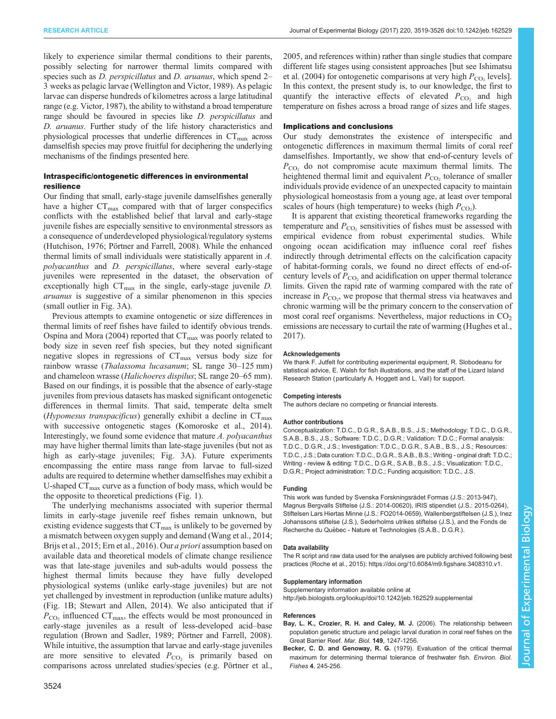<span id="page-5-0"></span>likely to experience similar thermal conditions to their parents, possibly selecting for narrower thermal limits compared with species such as *D. perspicillatus* and *D. aruanus*, which spend 2– 3 weeks as pelagic larvae ([Wellington and Victor, 1989](#page-7-0)). As pelagic larvae can disperse hundreds of kilometres across a large latitudinal range (e.g. [Victor, 1987](#page-7-0)), the ability to withstand a broad temperature range should be favoured in species like *D. perspicillatus* and D. aruanus. Further study of the life history characteristics and physiological processes that underlie differences in  $CT_{\text{max}}$  across damselfish species may prove fruitful for deciphering the underlying mechanisms of the findings presented here.

# Intraspecific/ontogenetic differences in environmental resilience

Our finding that small, early-stage juvenile damselfishes generally have a higher  $CT_{\text{max}}$  compared with that of larger conspecifics conflicts with the established belief that larval and early-stage juvenile fishes are especially sensitive to environmental stressors as a consequence of underdeveloped physiological/regulatory systems [\(Hutchison, 1976](#page-6-0); [Pörtner and Farrell, 2008\)](#page-6-0). While the enhanced thermal limits of small individuals were statistically apparent in A. polyacanthus and D. perspicillatus, where several early-stage juveniles were represented in the dataset, the observation of exceptionally high  $CT_{\text{max}}$  in the single, early-stage juvenile *D*. aruanus is suggestive of a similar phenomenon in this species (small outlier in [Fig. 3A](#page-4-0)).

Previous attempts to examine ontogenetic or size differences in thermal limits of reef fishes have failed to identify obvious trends. [Ospína and Mora \(2004\)](#page-6-0) reported that  $CT_{\text{max}}$  was poorly related to body size in seven reef fish species, but they noted significant negative slopes in regressions of  $CT_{\text{max}}$  versus body size for rainbow wrasse (*Thalassoma lucasanum*; SL range 30–125 mm) and chameleon wrasse (Halichoeres dispilus; SL range 20–65 mm). Based on our findings, it is possible that the absence of early-stage juveniles from previous datasets has masked significant ontogenetic differences in thermal limits. That said, temperate delta smelt (Hypomesus transpacificus) generally exhibit a decline in  $CT_{\text{max}}$ with successive ontogenetic stages ([Komoroske et al., 2014\)](#page-6-0). Interestingly, we found some evidence that mature A. polyacanthus may have higher thermal limits than late-stage juveniles (but not as high as early-stage juveniles; [Fig. 3](#page-4-0)A). Future experiments encompassing the entire mass range from larvae to full-sized adults are required to determine whether damselfishes may exhibit a U-shaped  $CT_{\text{max}}$  curve as a function of body mass, which would be the opposite to theoretical predictions [\(Fig. 1\)](#page-1-0).

The underlying mechanisms associated with superior thermal limits in early-stage juvenile reef fishes remain unknown, but existing evidence suggests that  $CT_{\text{max}}$  is unlikely to be governed by a mismatch between oxygen supply and demand [\(Wang et al., 2014](#page-7-0); [Brijs et al., 2015; Ern et al., 2016\)](#page-6-0). Our *a priori* assumption based on available data and theoretical models of climate change resilience was that late-stage juveniles and sub-adults would possess the highest thermal limits because they have fully developed physiological systems (unlike early-stage juveniles) but are not yet challenged by investment in reproduction (unlike mature adults) [\(Fig. 1B](#page-1-0); [Stewart and Allen, 2014\)](#page-6-0). We also anticipated that if  $P_{\rm CO}$ , influenced  $CT_{\rm max}$ , the effects would be most pronounced in early-stage juveniles as a result of less-developed acid–base regulation ([Brown and Sadler, 1989](#page-6-0); [Pörtner and Farrell, 2008\)](#page-6-0). While intuitive, the assumption that larvae and early-stage juveniles are more sensitive to elevated  $P_{\text{CO}_2}$  is primarily based on comparisons across unrelated studies/species (e.g. [Pörtner et al.,](#page-6-0)

[2005,](#page-6-0) and references within) rather than single studies that compare different life stages using consistent approaches [but see [Ishimatsu](#page-6-0) [et al. \(2004\)](#page-6-0) for ontogenetic comparisons at very high  $P_{CO_2}$  levels]. In this context, the present study is, to our knowledge, the first to quantify the interactive effects of elevated  $P_{\text{CO}_2}$  and high temperature on fishes across a broad range of sizes and life stages.

## Implications and conclusions

Our study demonstrates the existence of interspecific and ontogenetic differences in maximum thermal limits of coral reef damselfishes. Importantly, we show that end-of-century levels of  $P_{\rm CO_2}$  do not compromise acute maximum thermal limits. The heightened thermal limit and equivalent  $P_{\text{CO}_2}$  tolerance of smaller individuals provide evidence of an unexpected capacity to maintain physiological homeostasis from a young age, at least over temporal scales of hours (high temperature) to weeks (high  $P_{\text{CO}_2}$ ).

It is apparent that existing theoretical frameworks regarding the temperature and  $P_{\text{CO}_2}$  sensitivities of fishes must be assessed with empirical evidence from robust experimental studies. While ongoing ocean acidification may influence coral reef fishes indirectly through detrimental effects on the calcification capacity of habitat-forming corals, we found no direct effects of end-ofcentury levels of  $P_{\text{CO}_2}$  and acidification on upper thermal tolerance limits. Given the rapid rate of warming compared with the rate of increase in  $P_{\text{CO}_2}$ , we propose that thermal stress via heatwaves and chronic warming will be the primary concern to the conservation of most coral reef organisms. Nevertheless, major reductions in  $CO<sub>2</sub>$ emissions are necessary to curtail the rate of warming [\(Hughes et al.,](#page-6-0) [2017\)](#page-6-0).

#### Acknowledgements

We thank F. Jutfelt for contributing experimental equipment, R. Slobodeanu for statistical advice, E. Walsh for fish illustrations, and the staff of the Lizard Island Research Station (particularly A. Hoggett and L. Vail) for support.

#### Competing interests

The authors declare no competing or financial interests.

## Author contributions

Conceptualization: T.D.C., D.G.R., S.A.B., B.S., J.S.; Methodology: T.D.C., D.G.R., S.A.B., B.S., J.S.; Software: T.D.C., D.G.R.; Validation: T.D.C.; Formal analysis: T.D.C., D.G.R., J.S.; Investigation: T.D.C., D.G.R., S.A.B., B.S., J.S.; Resources: T.D.C., J.S.; Data curation: T.D.C., D.G.R., S.A.B., B.S.; Writing - original draft: T.D.C.; Writing - review & editing: T.D.C., D.G.R., S.A.B., B.S., J.S.; Visualization: T.D.C., D.G.R.; Project administration: T.D.C.; Funding acquisition: T.D.C., J.S.

#### Funding

This work was funded by Svenska Forskningsrådet Formas (J.S.: 2013-947), Magnus Bergvalls Stiftelse (J.S.: 2014-00620), IRIS stipendiet (J.S.: 2015-0264), Stiftelsen Lars Hiertas Minne (J.S.: FO2014-0659), Wallenbergstiftelsen (J.S.), Inez Johanssons stiftelse (J.S.), Sederholms utrikes stiftelse (J.S.), and the Fonds de Recherche du Québec - Nature et Technologies (S.A.B., D.G.R.).

#### Data availability

The R script and raw data used for the analyses are publicly archived following best practices ([Roche et al., 2015](#page-6-0)):<https://doi.org/10.6084/m9.figshare.3408310.v1>.

#### Supplementary information

Supplementary information available online at <http://jeb.biologists.org/lookup/doi/10.1242/jeb.162529.supplemental>

#### References

- [Bay, L. K., Crozier, R. H. and Caley, M. J.](http://dx.doi.org/10.1007/s00227-006-0276-6) (2006). The relationship between [population genetic structure and pelagic larval duration in coral reef fishes on the](http://dx.doi.org/10.1007/s00227-006-0276-6) [Great Barrier Reef.](http://dx.doi.org/10.1007/s00227-006-0276-6) Mar. Biol. 149, 1247-1256.
- Becker, C. D. and Genoway, R. G. [\(1979\). Evaluation of the critical thermal](http://dx.doi.org/10.1007/BF00005481) [maximum for determining thermal tolerance of freshwater fish.](http://dx.doi.org/10.1007/BF00005481) Environ. Biol. Fishes 4[, 245-256.](http://dx.doi.org/10.1007/BF00005481)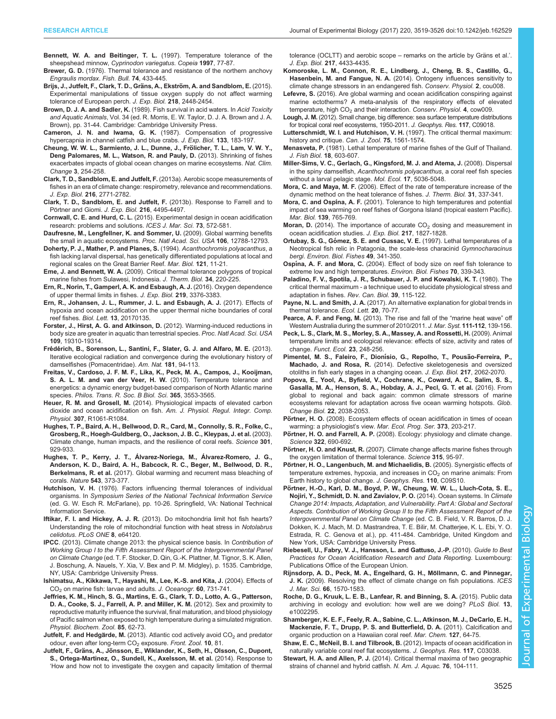- <span id="page-6-0"></span>[Bennett, W. A. and Beitinger, T. L.](http://dx.doi.org/10.2307/1447842) (1997). Temperature tolerance of the sheepshead minnow, [Cyprinodon variegatus](http://dx.doi.org/10.2307/1447842). Copeia 1997, 77-87.
- Brewer, G. D. (1976). Thermal tolerance and resistance of the northern anchovy Engraulis mordax. Fish. Bull. 74, 433-445.
- Brijs, J., Jutfelt, F., Clark, T. D., Gräns, A., Ekström, A. and Sandblom, E. (2015). [Experimental manipulations of tissue oxygen supply do not affect warming](http://dx.doi.org/10.1242/jeb.121889) [tolerance of European perch.](http://dx.doi.org/10.1242/jeb.121889) J. Exp. Biol. 218, 2448-2454.
- Brown, D. J. A. and Sadler, K. (1989). Fish survival in acid waters. In Acid Toxicity and Aquatic Animals, Vol. 34 (ed. R. Morris, E. W. Taylor, D. J. A. Brown and J. A. Brown), pp. 31-44. Cambridge: Cambridge University Press.
- Cameron, J. N. and Iwama, G. K. (1987). Compensation of progressive hypercapnia in channel catfish and blue crabs. J. Exp. Biol. 133, 183-197.
- Cheung, W. W. L., Sarmiento, J. L., Dunne, J., Frölicher, T. L., Lam, V. W. Y., [Deng Palomares, M. L., Watson, R. and Pauly, D.](http://dx.doi.org/10.1038/nclimate1691) (2013). Shrinking of fishes [exacerbates impacts of global ocean changes on marine ecosystems.](http://dx.doi.org/10.1038/nclimate1691) Nat. Clim. Change 3[, 254-258.](http://dx.doi.org/10.1038/nclimate1691)
- [Clark, T. D., Sandblom, E. and Jutfelt, F.](http://dx.doi.org/10.1242/jeb.084251) (2013a). Aerobic scope measurements of [fishes in an era of climate change: respirometry, relevance and recommendations.](http://dx.doi.org/10.1242/jeb.084251) J. Exp. Biol. 216[, 2771-2782.](http://dx.doi.org/10.1242/jeb.084251)
- [Clark, T. D., Sandblom, E. and Jutfelt, F.](http://dx.doi.org/10.1242/jeb.096313) (2013b). Response to Farrell and to Pö[rtner and Giomi.](http://dx.doi.org/10.1242/jeb.096313) J. Exp. Biol. 216, 4495-4497.
- Cornwall, C. E. and Hurd, C. L. [\(2015\). Experimental design in ocean acidification](http://dx.doi.org/10.1093/icesjms/fsv118) [research: problems and solutions.](http://dx.doi.org/10.1093/icesjms/fsv118) ICES J. Mar. Sci. 73, 572-581.
- [Daufresne, M., Lengfellner, K. and Sommer, U.](http://dx.doi.org/10.1073/pnas.0902080106) (2009). Global warming benefits [the small in aquatic ecosystems.](http://dx.doi.org/10.1073/pnas.0902080106) Proc. Natl Acad. Sci. USA 106, 12788-12793.
- [Doherty, P. J., Mather, P. and Planes, S.](http://dx.doi.org/10.1007/BF00349469) (1994). Acanthochromis polyacanthus, a [fish lacking larval dispersal, has genetically differentiated populations at local and](http://dx.doi.org/10.1007/BF00349469) [regional scales on the Great Barrier Reef.](http://dx.doi.org/10.1007/BF00349469) Mar. Biol. 121, 11-21.
- Eme, J. and Bennett, W. A. [\(2009\). Critical thermal tolerance polygons of tropical](http://dx.doi.org/10.1016/j.jtherbio.2009.02.005) [marine fishes from Sulawesi, Indonesia.](http://dx.doi.org/10.1016/j.jtherbio.2009.02.005) J. Therm. Biol. 34, 220-225.
- [Ern, R., Norin, T., Gamperl, A. K. and Esbaugh, A. J.](http://dx.doi.org/10.1242/jeb.143495) (2016). Oxygen dependence [of upper thermal limits in fishes.](http://dx.doi.org/10.1242/jeb.143495) J. Exp. Biol. 219, 3376-3383.
- [Ern, R., Johansen, J. L., Rummer, J. L. and Esbaugh, A. J.](http://dx.doi.org/10.1098/rsbl.2017.0135) (2017). Effects of [hypoxia and ocean acidification on the upper thermal niche boundaries of coral](http://dx.doi.org/10.1098/rsbl.2017.0135) reef fishes. Biol. Lett. 13[, 20170135.](http://dx.doi.org/10.1098/rsbl.2017.0135)
- [Forster, J., Hirst, A. G. and Atkinson, D.](http://dx.doi.org/10.1073/pnas.1210460109) (2012). Warming-induced reductions in [body size are greater in aquatic than terrestrial species.](http://dx.doi.org/10.1073/pnas.1210460109) Proc. Natl Acad. Sci. USA 109[, 19310-19314.](http://dx.doi.org/10.1073/pnas.1210460109)
- Frédé[rich, B., Sorenson, L., Santini, F., Slater, G. J. and Alfaro, M. E.](http://dx.doi.org/10.1086/668599) (2013). [Iterative ecological radiation and convergence during the evolutionary history of](http://dx.doi.org/10.1086/668599) [damselfishes \(Pomacentridae\).](http://dx.doi.org/10.1086/668599) Am. Nat. 181, 94-113.
- [Freitas, V., Cardoso, J. F. M. F., Lika, K., Peck, M. A., Campos, J., Kooijman,](http://dx.doi.org/10.1098/rstb.2010.0049) [S. A. L. M. and van der Veer, H. W.](http://dx.doi.org/10.1098/rstb.2010.0049) (2010). Temperature tolerance and [energetics: a dynamic energy budget-based comparison of North Atlantic marine](http://dx.doi.org/10.1098/rstb.2010.0049) species. [Philos. Trans. R. Soc. B Biol. Sci.](http://dx.doi.org/10.1098/rstb.2010.0049) 365, 3553-3565.
- Heuer, R. M. and Grosell, M. [\(2014\). Physiological impacts of elevated carbon](http://dx.doi.org/10.1152/ajpregu.00064.2014) [dioxide and ocean acidification on fish.](http://dx.doi.org/10.1152/ajpregu.00064.2014) Am. J. Physiol. Regul. Integr. Comp. Physiol. 307[, R1061-R1084.](http://dx.doi.org/10.1152/ajpregu.00064.2014)
- [Hughes, T. P., Baird, A. H., Bellwood, D. R., Card, M., Connolly, S. R., Folke, C.,](http://dx.doi.org/10.1126/science.1085046) [Grosberg, R., Hoegh-Guldberg, O., Jackson, J. B. C., Kleypas, J. et al.](http://dx.doi.org/10.1126/science.1085046) (2003). [Climate change, human impacts, and the resilience of coral reefs.](http://dx.doi.org/10.1126/science.1085046) Science 301, [929-933.](http://dx.doi.org/10.1126/science.1085046)
- [Hughes, T. P., Kerry, J. T., Álvarez-Noriega, M., Álvarez-Romero, J. G.,](http://dx.doi.org/10.1038/nature21707) [Anderson, K. D., Baird, A. H., Babcock, R. C., Beger, M., Bellwood, D. R.,](http://dx.doi.org/10.1038/nature21707) Berkelmans, R. et al. [\(2017\). Global warming and recurrent mass bleaching of](http://dx.doi.org/10.1038/nature21707) corals. Nature 543[, 373-377.](http://dx.doi.org/10.1038/nature21707)
- Hutchison, V. H. (1976). Factors influencing thermal tolerances of individual organisms. In Symposium Series of the National Technical Information Service (ed. G. W. Esch R. McFarlane), pp. 10-26. Springfield, VA: National Technical Information Service.
- Iftikar, F. I. and Hickey, A. J. R. [\(2013\). Do mitochondria limit hot fish hearts?](http://dx.doi.org/10.1371/journal.pone.0064120) [Understanding the role of mitochondrial function with heat stress in](http://dx.doi.org/10.1371/journal.pone.0064120) Notolabrus celidotus. [PLoS ONE](http://dx.doi.org/10.1371/journal.pone.0064120) 8, e64120.
- IPCC. (2013). Climate change 2013: the physical science basis. In Contribution of Working Group I to the Fifth Assessment Report of the Intergovernmental Panel on Climate Change (ed. T. F. Stocker, D. Qin, G.-K. Plattner, M. Tignor, S. K. Allen, J. Boschung, A. Nauels, Y. Xia, V. Bex and P. M. Midgley), p. 1535. Cambridge, NY, USA: Cambridge University Press.
- [Ishimatsu, A., Kikkawa, T., Hayashi, M., Lee, K.-S. and Kita, J.](http://dx.doi.org/10.1007/s10872-004-5765-y) (2004). Effects of CO<sub>2</sub> [on marine fish: larvae and adults.](http://dx.doi.org/10.1007/s10872-004-5765-y) J. Oceanogr. 60, 731-741.
- [Jeffries, K. M., Hinch, S. G., Martins, E. G., Clark, T. D., Lotto, A. G., Patterson,](http://dx.doi.org/10.1086/663770) [D. A., Cooke, S. J., Farrell, A. P. and Miller, K. M.](http://dx.doi.org/10.1086/663770) (2012). Sex and proximity to [reproductive maturity influence the survival, final maturation, and blood physiology](http://dx.doi.org/10.1086/663770) [of Pacific salmon when exposed to high temperature during a simulated migration.](http://dx.doi.org/10.1086/663770) [Physiol. Biochem. Zool.](http://dx.doi.org/10.1086/663770) 85, 62-73.
- Jutfelt, F. and Hedgärde, M. (2013). Atlantic cod actively avoid  $CO<sub>2</sub>$  [and predator](http://dx.doi.org/10.1186/1742-9994-10-81) odour, even after long-term CO<sub>2</sub> exposure. [Front. Zool.](http://dx.doi.org/10.1186/1742-9994-10-81) 10, 81.
- Jutfelt, F., Gräns, A., Jö[nsson, E., Wiklander, K., Seth, H., Olsson, C., Dupont,](http://dx.doi.org/10.1242/jeb.115410) [S., Ortega-Martinez, O., Sundell, K., Axelsson, M. et al.](http://dx.doi.org/10.1242/jeb.115410) (2014). Response to '[How and how not to investigate the oxygen and capacity limitation of thermal](http://dx.doi.org/10.1242/jeb.115410)

[tolerance \(OCLTT\) and aerobic scope](http://dx.doi.org/10.1242/jeb.115410) – remarks on the article by Gräns et al.'. J. Exp. Biol. 217[, 4433-4435.](http://dx.doi.org/10.1242/jeb.115410)

- [Komoroske, L. M., Connon, R. E., Lindberg, J., Cheng, B. S., Castillo, G.,](http://dx.doi.org/10.1093/conphys/cou008) Hasenbein, M. and Fangue, N. A. [\(2014\). Ontogeny influences sensitivity to](http://dx.doi.org/10.1093/conphys/cou008) [climate change stressors in an endangered fish.](http://dx.doi.org/10.1093/conphys/cou008) Conserv. Physiol. 2, cou008.
- Lefevre, S. [\(2016\). Are global warming and ocean acidification conspiring against](http://dx.doi.org/10.1093/conphys/cow009) [marine ectotherms? A meta-analysis of the respiratory effects of elevated](http://dx.doi.org/10.1093/conphys/cow009) temperature, high CO<sub>2</sub> [and their interaction.](http://dx.doi.org/10.1093/conphys/cow009) Conserv. Physiol. 4, cow009.
- Lough, J. M. [\(2012\). Small change, big difference: sea surface temperature distributions](http://dx.doi.org/10.1029/2012JC008199) [for tropical coral reef ecosystems, 1950-2011.](http://dx.doi.org/10.1029/2012JC008199) J. Geophys. Res. 117, C09018.
- [Lutterschmidt, W. I. and Hutchison, V. H.](http://dx.doi.org/10.1139/z97-783) (1997). The critical thermal maximum: [history and critique.](http://dx.doi.org/10.1139/z97-783) Can. J. Zool. 75, 1561-1574.
- Menasveta, P. [\(1981\). Lethal temperature of marine fishes of the Gulf of Thailand.](http://dx.doi.org/10.1111/j.1095-8649.1981.tb03800.x) [J. Fish Biol.](http://dx.doi.org/10.1111/j.1095-8649.1981.tb03800.x) 18, 603-607.
- [Miller-Sims, V. C., Gerlach, G., Kingsford, M. J. and Atema, J.](http://dx.doi.org/10.1111/j.1365-294X.2008.03986.x) (2008). Dispersal in the spiny damselfish, [Acanthochromis polyacanthus](http://dx.doi.org/10.1111/j.1365-294X.2008.03986.x), a coral reef fish species [without a larval pelagic stage.](http://dx.doi.org/10.1111/j.1365-294X.2008.03986.x) Mol. Ecol. 17, 5036-5048.
- Mora, C. and Maya, M. F. [\(2006\). Effect of the rate of temperature increase of the](http://dx.doi.org/10.1016/j.jtherbio.2006.01.005) [dynamic method on the heat tolerance of fishes.](http://dx.doi.org/10.1016/j.jtherbio.2006.01.005) J. Therm. Biol. 31, 337-341.
- Mora, C. and Ospina, A. F. [\(2001\). Tolerance to high temperatures and potential](http://dx.doi.org/10.1007/s002270100626) [impact of sea warming on reef fishes of Gorgona Island \(tropical eastern Pacific\).](http://dx.doi.org/10.1007/s002270100626) Mar. Biol. 139[, 765-769.](http://dx.doi.org/10.1007/s002270100626)
- Moran, D. (2014). The importance of accurate  $CO<sub>2</sub>$  [dosing and measurement in](http://dx.doi.org/10.1242/jeb.104414) [ocean acidification studies.](http://dx.doi.org/10.1242/jeb.104414) J. Exp. Biol. 217, 1827-1828.
- Ortubay, S. G., Gómez, S. E. and Cussac, V. E. [\(1997\). Lethal temperatures of a](http://dx.doi.org/10.1023/A:1007317602738) [Neotropical fish relic in Patagonia, the scale-less characinid](http://dx.doi.org/10.1023/A:1007317602738) Gymnocharacinus bergi. [Environ. Biol. Fishes](http://dx.doi.org/10.1023/A:1007317602738) 49, 341-350.
- Ospina, A. F. and Mora, C. [\(2004\). Effect of body size on reef fish tolerance to](http://dx.doi.org/10.1023/B:EBFI.0000035429.39129.34) [extreme low and high temperatures.](http://dx.doi.org/10.1023/B:EBFI.0000035429.39129.34) Environ. Biol. Fishes 70, 339-343.
- Paladino, F. V., Spotila, J. R., Schubauer, J. P. and Kowalski, K. T. (1980). The critical thermal maximum - a technique used to elucidate physiological stress and adaptation in fishes. Rev. Can. Biol. 39, 115-122.
- Payne, N. L. and Smith, J. A. [\(2017\). An alternative explanation for global trends in](http://dx.doi.org/10.1111/ele.12707) [thermal tolerance.](http://dx.doi.org/10.1111/ele.12707) Ecol. Lett. 20, 70-77.
- Pearce, A. F. and Feng, M. [\(2013\). The rise and fall of the](http://dx.doi.org/10.1016/j.jmarsys.2012.10.009) "marine heat wave" off [Western Australia during the summer of 2010/2011.](http://dx.doi.org/10.1016/j.jmarsys.2012.10.009) J. Mar. Syst. 111-112, 139-156.
- [Peck, L. S., Clark, M. S., Morley, S. A., Massey, A. and Rossetti, H.](http://dx.doi.org/10.1111/j.1365-2435.2008.01537.x) (2009). Animal [temperature limits and ecological relevance: effects of size, activity and rates of](http://dx.doi.org/10.1111/j.1365-2435.2008.01537.x) change. [Funct. Ecol.](http://dx.doi.org/10.1111/j.1365-2435.2008.01537.x) 23, 248-256.
- [Pimentel, M. S., Faleiro, F., Dion](http://dx.doi.org/10.1242/jeb.092635)ísio, G., Repolho, T., Pousão-Ferreira, P., ̃ Machado, J. and Rosa, R. [\(2014\). Defective skeletogenesis and oversized](http://dx.doi.org/10.1242/jeb.092635) [otoliths in fish early stages in a changing ocean.](http://dx.doi.org/10.1242/jeb.092635) J. Exp. Biol. 217, 2062-2070.
- [Popova, E., Yool, A., Byfield, V., Cochrane, K., Coward, A. C., Salim, S. S.,](http://dx.doi.org/10.1111/gcb.13247) [Gasalla, M. A., Henson, S. A., Hobday, A. J., Pecl, G. T. et al.](http://dx.doi.org/10.1111/gcb.13247) (2016). From [global to regional and back again: common climate stressors of marine](http://dx.doi.org/10.1111/gcb.13247) [ecosystems relevant for adaptation across five ocean warming hotspots.](http://dx.doi.org/10.1111/gcb.13247) Glob. [Change Biol.](http://dx.doi.org/10.1111/gcb.13247) 22, 2038-2053.
- Pörtner, H. O. [\(2008\). Ecosystem effects of ocean acidification in times of ocean](http://dx.doi.org/10.3354/meps07768) [warming: a physiologist](http://dx.doi.org/10.3354/meps07768)'s view. Mar. Ecol. Prog. Ser. 373, 203-217.
- Pörtner, H. O. and Farrell, A. P. [\(2008\). Ecology: physiology and climate change.](http://dx.doi.org/10.1126/science.1163156) Science 322[, 690-692.](http://dx.doi.org/10.1126/science.1163156)
- Pörtner, H. O. and Knust, R. [\(2007\). Climate change affects marine fishes through](http://dx.doi.org/10.1126/science.1135471) [the oxygen limitation of thermal tolerance.](http://dx.doi.org/10.1126/science.1135471) Science 315, 95-97.
- Pörtner, H. O., Langenbuch, M. and Michaelidis, B. (2005). Synergistic effects of temperature extremes, hypoxia, and increases in  $CO<sub>2</sub>$  on marine animals: From Earth history to global change. J. Geophys. Res. 110, C09S10.
- Pörtner, H.-O., Karl, D. M., Boyd, P. W., Cheung, W. W. L., Lluch-Cota, S. E., Nojiri, Y., Schmidt, D. N. and Zavialov, P. O. (2014). Ocean systems. In Climate Change 2014: Impacts, Adaptation, and Vulnerability. Part A: Global and Sectoral Aspects. Contribution of Working Group II to the Fifth Assessment Report of the Intergovernmental Panel on Climate Change (ed. C. B. Field, V. R. Barros, D. J. Dokken, K. J. Mach, M. D. Mastrandrea, T. E. Bilir, M. Chatterjee, K. L. Ebi, Y. O. Estrada, R. C. Genova et al.), pp. 411-484. Cambridge, United Kingdom and New York, USA: Cambridge University Press.
- Riebesell, U., Fabry, V. J., Hansson, L. and Gattuso, J.-P. (2010). Guide to Best Practices for Ocean Acidification Research and Data Reporting. Luxembourg: Publications Office of the European Union.
- Rijnsdorp, A. D., Peck, M. A., Engelhard, G. H., Möllmann, C. and Pinnegar, J. K. [\(2009\). Resolving the effect of climate change on fish populations.](http://dx.doi.org/10.1093/icesjms/fsp056) ICES J. Mar. Sci. 66[, 1570-1583.](http://dx.doi.org/10.1093/icesjms/fsp056)
- [Roche, D. G., Kruuk, L. E. B., Lanfear, R. and Binning, S. A.](http://dx.doi.org/10.1371/journal.pbio.1002295) (2015). Public data [archiving in ecology and evolution: how well are we doing?](http://dx.doi.org/10.1371/journal.pbio.1002295) PLoS Biol. 13, [e1002295.](http://dx.doi.org/10.1371/journal.pbio.1002295)
- [Shamberger, K. E. F., Feely, R. A., Sabine, C. L., Atkinson, M. J., DeCarlo, E. H.,](http://dx.doi.org/10.1016/j.marchem.2011.08.003) [Mackenzie, F. T., Drupp, P. S. and Butterfield, D. A.](http://dx.doi.org/10.1016/j.marchem.2011.08.003) (2011). Calcification and [organic production on a Hawaiian coral reef.](http://dx.doi.org/10.1016/j.marchem.2011.08.003) Mar. Chem. 127, 64-75.
- [Shaw, E. C., McNeil, B. I. and Tilbrook, B.](http://dx.doi.org/10.1029/2011JC007655) (2012). Impacts of ocean acidification in [naturally variable coral reef flat ecosystems.](http://dx.doi.org/10.1029/2011JC007655) J. Geophys. Res. 117, C03038.
- Stewart, H. A. and Allen, P. J. [\(2014\). Critical thermal maxima of two geographic](http://dx.doi.org/10.1080/15222055.2013.856827) [strains of channel and hybrid catfish.](http://dx.doi.org/10.1080/15222055.2013.856827) N. Am. J. Aquac. 76, 104-111.